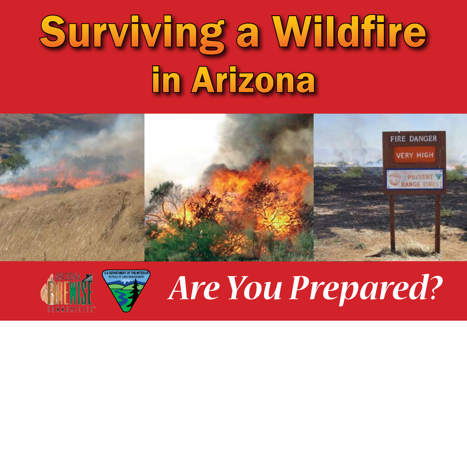# Surviving a Wildfire in Arizona





## *Are You Prepared?*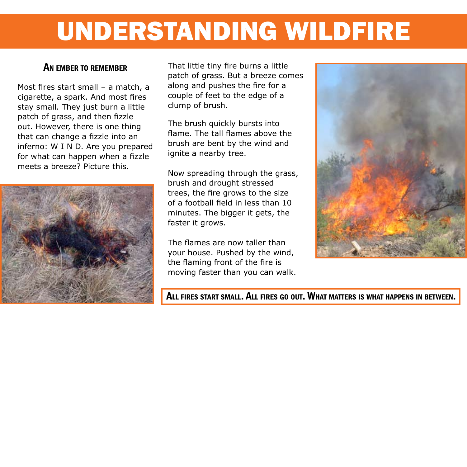### UNDERSTANDING WILDFIRE

#### An ember to remember

Most fires start small – a match, a cigarette, a spark. And most fires stay small. They just burn a little patch of grass, and then fizzle out. However, there is one thing that can change a fizzle into an inferno: W I N D. Are you prepared for what can happen when a fizzle meets a breeze? Picture this.



That little tiny fire burns a little patch of grass. But a breeze comes along and pushes the fire for a couple of feet to the edge of a clump of brush.

The brush quickly bursts into flame. The tall flames above the brush are bent by the wind and ignite a nearby tree.

Now spreading through the grass, brush and drought stressed trees, the fire grows to the size of a football field in less than 10 minutes. The bigger it gets, the faster it grows.

The flames are now taller than your house. Pushed by the wind, the flaming front of the fire is moving faster than you can walk.



All fires start small. All fires go out. What matters is what happens in between.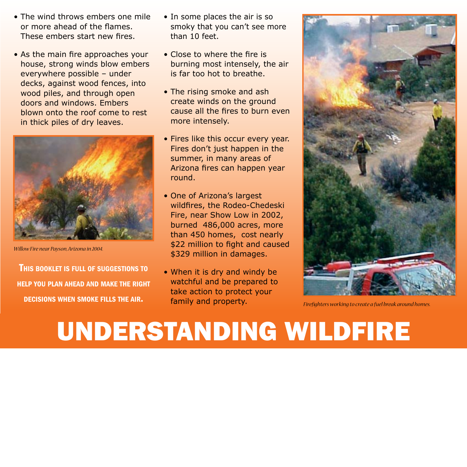- The wind throws embers one mile or more ahead of the flames. These embers start new fires.
- As the main fire approaches your house, strong winds blow embers everywhere possible – under decks, against wood fences, into wood piles, and through open doors and windows. Embers blown onto the roof come to rest in thick piles of dry leaves.



*Willow Fire near Payson, Arizona in 2004.*

This booklet is full of suggestions to help you plan ahead and make the right

- In some places the air is so smoky that you can't see more than 10 feet.
- Close to where the fire is burning most intensely, the air is far too hot to breathe.
- The rising smoke and ash create winds on the ground cause all the fires to burn even more intensely.
- Fires like this occur every year. Fires don't just happen in the summer, in many areas of Arizona fires can happen year round.
- One of Arizona's largest wildfires, the Rodeo-Chedeski Fire, near Show Low in 2002, burned 486,000 acres, more than 450 homes, cost nearly \$22 million to fight and caused \$329 million in damages.
- When it is dry and windy be watchful and be prepared to take action to protect your family and property. **DECISIONS WHEN SMOKE FILLS THE AIR. Fighters working to create a fuel break around homes.**



### UNDERSTANDING WILDFIRE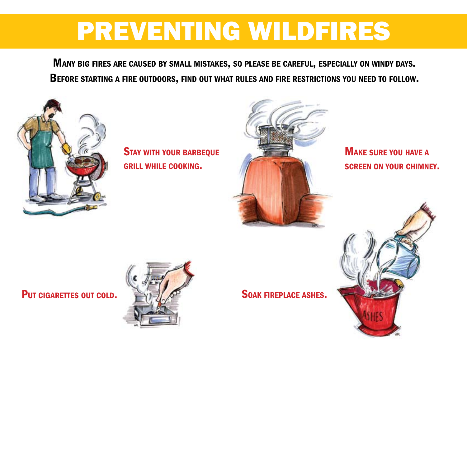### PREVENTING WILDFIRES

Many big fires are caused by small mistakes, so please be careful, especially on windy days. Before starting a fire outdoors, find out what rules and fire restrictions you need to follow.



STAY WITH YOUR BARBEQUE grill while cooking.



Make sure you have a screen on your chimney.

Put cigarettes out cold. Soak fireplace ashes.

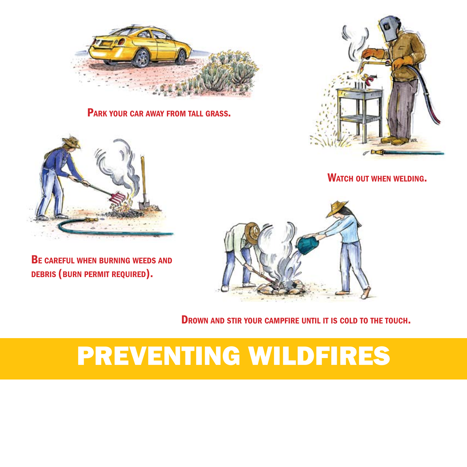

PARK YOUR CAR AWAY FROM TALL GRASS.



Be careful when burning weeds and debris (burn permit required).



WATCH OUT WHEN WELDING.



Drown and stir your campfire until it is cold to the touch.

### PREVENTING WILDFIRES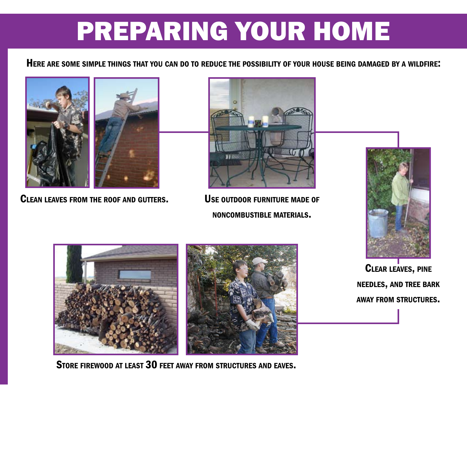### PREPARING YOUR HOME

Here are some simple things that you can do to reduce the possibility of your house being damaged by <sup>a</sup> wildfire:





CLEAN LEAVES FROM THE ROOF AND GUTTERS. USE OUTDOOR FURNITURE MADE OF



noncombustible materials.





STORE FIREWOOD AT LEAST 30 FEET AWAY FROM STRUCTURES AND EAVES.

Clear leaves, pine needles, and tree bark away from structures.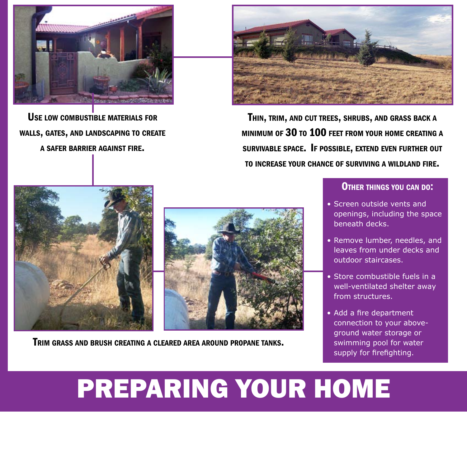

Use low combustible materials for walls, gates, and landscaping to create <sup>a</sup> safer barrier against fire.



Thin, trim, and cut trees, shrubs, and grass back <sup>a</sup> minimum of 30 to 100 feet from your home creating <sup>a</sup> survivable space. If possible, extend even further out to increase your chance of surviving <sup>a</sup> wildland fire.



Trim grass and brush creating <sup>a</sup> cleared area around propane tanks.

#### OTHER THINGS YOU CAN DO:

- Screen outside vents and openings, including the space beneath decks.
- Remove lumber, needles, and leaves from under decks and outdoor staircases.
- Store combustible fuels in a well-ventilated shelter away from structures.
- Add a fire department connection to your aboveground water storage or swimming pool for water supply for firefighting.

## PREPARING YOUR HOME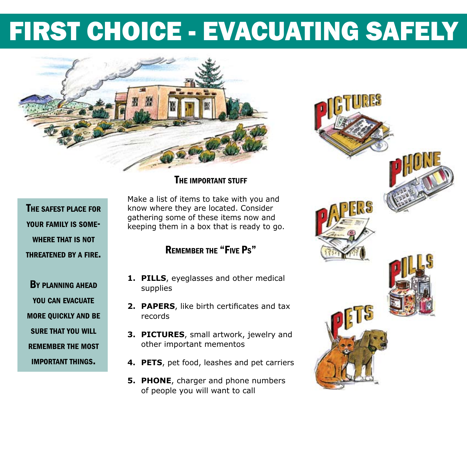### FIRST CHOICE - EVACUATING SAFELY



#### THE IMPORTANT STUFF

The safest place for your family is somewhere that is not threatened by <sup>a</sup> fire.

By planning ahead you can evacuate more quickly and be sure that you will remember the most important things.

Make a list of items to take with you and know where they are located. Consider gathering some of these items now and keeping them in a box that is ready to go.

#### Remember the "Five Ps"

- **1. PILLS**, eyeglasses and other medical supplies
- **2. PAPERS**, like birth certificates and tax records
- **3. PICTURES**, small artwork, jewelry and other important mementos
- **4. PETS**, pet food, leashes and pet carriers
- **5. PHONE**, charger and phone numbers of people you will want to call

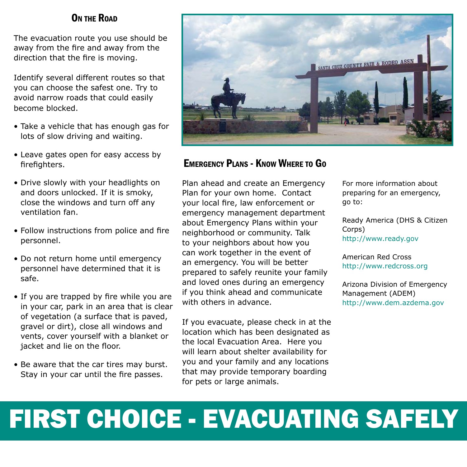#### ON THE ROAD

The evacuation route you use should be away from the fire and away from the direction that the fire is moving.

Identify several different routes so that you can choose the safest one. Try to avoid narrow roads that could easily become blocked.

- Take a vehicle that has enough gas for lots of slow driving and waiting.
- Leave gates open for easy access by firefighters.
- Drive slowly with your headlights on and doors unlocked. If it is smoky, close the windows and turn off any ventilation fan.
- Follow instructions from police and fire personnel.
- Do not return home until emergency personnel have determined that it is safe.
- If you are trapped by fire while you are in your car, park in an area that is clear of vegetation (a surface that is paved, gravel or dirt), close all windows and vents, cover yourself with a blanket or jacket and lie on the floor.
- Be aware that the car tires may burst. Stay in your car until the fire passes.



#### Emergency Plans - Know Where to Go

Plan ahead and create an Emergency Plan for your own home. Contact your local fire, law enforcement or emergency management department about Emergency Plans within your neighborhood or community. Talk to your neighbors about how you can work together in the event of an emergency. You will be better prepared to safely reunite your family and loved ones during an emergency if you think ahead and communicate with others in advance.

If you evacuate, please check in at the location which has been designated as the local Evacuation Area. Here you will learn about shelter availability for you and your family and any locations that may provide temporary boarding for pets or large animals.

For more information about preparing for an emergency, go to:

Ready America (DHS & Citizen Corps) http://www.ready.gov

American Red Cross http://www.redcross.org

Arizona Division of Emergency Management (ADEM) http://www.dem.azdema.gov

### FIRST CHOICE - EVACUATING SAFELY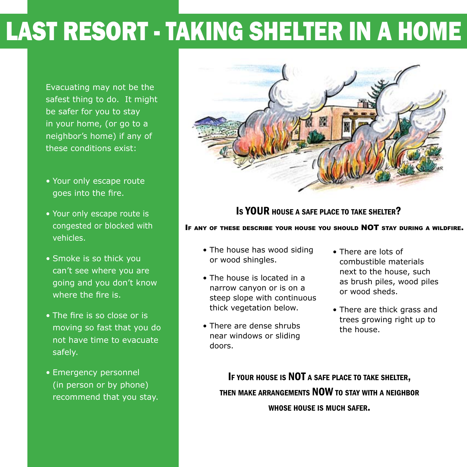## LAST RESORT - TAKING SHELTER IN A HOME

Evacuating may not be the safest thing to do. It might be safer for you to stay in your home, (or go to a neighbor's home) if any of these conditions exist:

- Your only escape route goes into the fire.
- Your only escape route is congested or blocked with vehicles.
- Smoke is so thick you can't see where you are going and you don't know where the fire is.
- The fire is so close or is moving so fast that you do not have time to evacuate safely.
- Emergency personnel (in person or by phone) recommend that you stay.



#### Is YOUR house <sup>a</sup> safe place to take shelter?

#### If any of these describe your house you should NOT stay during <sup>a</sup> wildfire.

- The house has wood siding or wood shingles.
- The house is located in a narrow canyon or is on a steep slope with continuous thick vegetation below.
- There are dense shrubs near windows or sliding doors.
- There are lots of combustible materials next to the house, such as brush piles, wood piles or wood sheds.
- There are thick grass and trees growing right up to the house.

If your house is NOT <sup>a</sup> safe place to take shelter, then make arrangements NOW to stay with <sup>a</sup> neighbor whose house is much safer.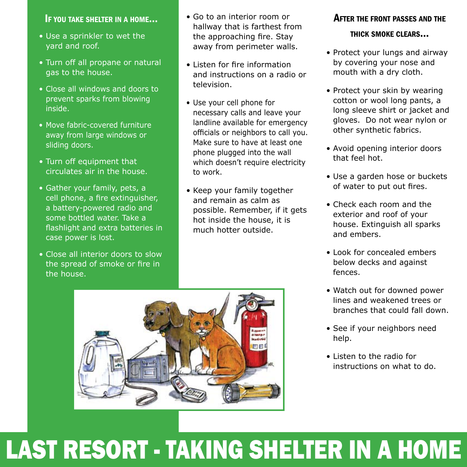#### If you take shelter in <sup>a</sup> home…

- Use a sprinkler to wet the yard and roof.
- Turn off all propane or natural gas to the house.
- Close all windows and doors to prevent sparks from blowing inside.
- Move fabric-covered furniture away from large windows or sliding doors.
- Turn off equipment that circulates air in the house.
- Gather your family, pets, a cell phone, a fire extinguisher, a battery-powered radio and some bottled water. Take a flashlight and extra batteries in case power is lost.
- Close all interior doors to slow the spread of smoke or fire in the house.
- Go to an interior room or hallway that is farthest from the approaching fire. Stay away from perimeter walls.
- Listen for fire information and instructions on a radio or television.
- Use your cell phone for necessary calls and leave your landline available for emergency officials or neighbors to call you. Make sure to have at least one phone plugged into the wall which doesn't require electricity to work.
- Keep your family together and remain as calm as possible. Remember, if it gets hot inside the house, it is much hotter outside.



#### thick smoke clears…

- Protect your lungs and airway by covering your nose and mouth with a dry cloth.
- Protect your skin by wearing cotton or wool long pants, a long sleeve shirt or jacket and gloves. Do not wear nylon or other synthetic fabrics.
- Avoid opening interior doors that feel hot.
- Use a garden hose or buckets of water to put out fires.
- Check each room and the exterior and roof of your house. Extinguish all sparks and embers.
- Look for concealed embers below decks and against fences.
- Watch out for downed power lines and weakened trees or branches that could fall down.
- See if your neighbors need help.
- Listen to the radio for instructions on what to do.



### LAST RESORT - TAKING SHELTER IN A HOME